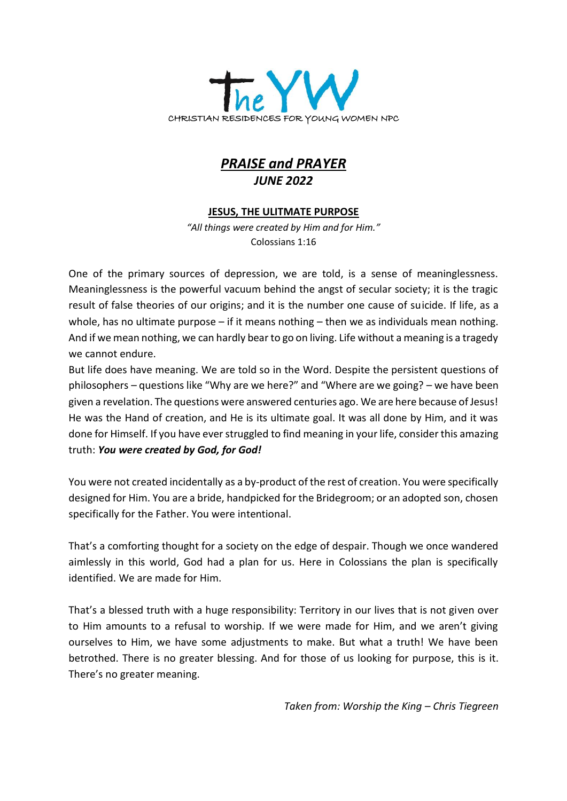

# *PRAISE and PRAYER JUNE 2022*

# **JESUS, THE ULITMATE PURPOSE**

*"All things were created by Him and for Him."*  Colossians 1:16

One of the primary sources of depression, we are told, is a sense of meaninglessness. Meaninglessness is the powerful vacuum behind the angst of secular society; it is the tragic result of false theories of our origins; and it is the number one cause of suicide. If life, as a whole, has no ultimate purpose – if it means nothing – then we as individuals mean nothing. And if we mean nothing, we can hardly bear to go on living. Life without a meaning is a tragedy we cannot endure.

But life does have meaning. We are told so in the Word. Despite the persistent questions of philosophers – questions like "Why are we here?" and "Where are we going? – we have been given a revelation. The questions were answered centuries ago. We are here because of Jesus! He was the Hand of creation, and He is its ultimate goal. It was all done by Him, and it was done for Himself. If you have ever struggled to find meaning in your life, consider this amazing truth: *You were created by God, for God!*

You were not created incidentally as a by-product of the rest of creation. You were specifically designed for Him. You are a bride, handpicked for the Bridegroom; or an adopted son, chosen specifically for the Father. You were intentional.

That's a comforting thought for a society on the edge of despair. Though we once wandered aimlessly in this world, God had a plan for us. Here in Colossians the plan is specifically identified. We are made for Him.

That's a blessed truth with a huge responsibility: Territory in our lives that is not given over to Him amounts to a refusal to worship. If we were made for Him, and we aren't giving ourselves to Him, we have some adjustments to make. But what a truth! We have been betrothed. There is no greater blessing. And for those of us looking for purpose, this is it. There's no greater meaning.

*Taken from: Worship the King – Chris Tiegreen*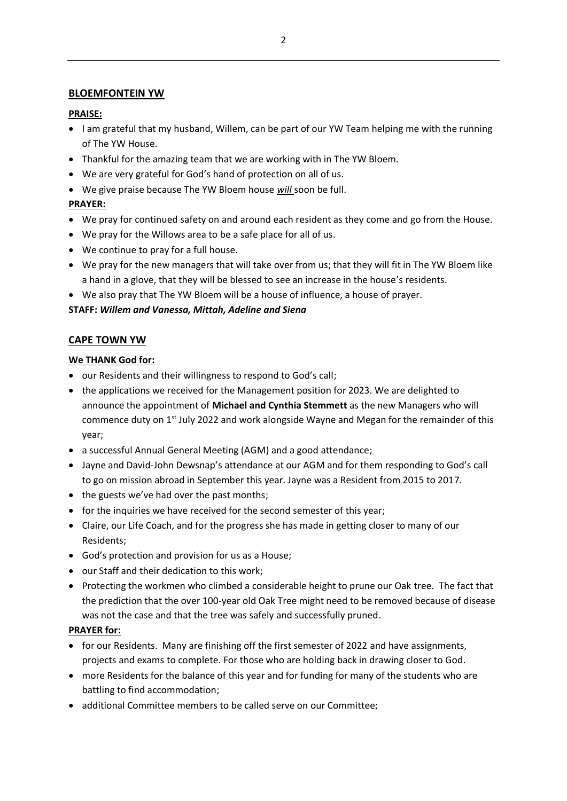#### **BLOEMFONTEIN YW**

#### **PRAISE:**

- I am grateful that my husband, Willem, can be part of our YW Team helping me with the running of The YW House.
- Thankful for the amazing team that we are working with in The YW Bloem.
- We are very grateful for God's hand of protection on all of us.
- We give praise because The YW Bloem house *will* soon be full.

# **PRAYER:**

- We pray for continued safety on and around each resident as they come and go from the House.
- We pray for the Willows area to be a safe place for all of us.
- We continue to pray for a full house.
- We pray for the new managers that will take over from us; that they will fit in The YW Bloem like a hand in a glove, that they will be blessed to see an increase in the house's residents.
- We also pray that The YW Bloem will be a house of influence, a house of prayer.

# **STAFF:** *Willem and Vanessa, Mittah, Adeline and Siena*

# **CAPE TOWN YW**

# **We THANK God for:**

- our Residents and their willingness to respond to God's call;
- the applications we received for the Management position for 2023. We are delighted to announce the appointment of **Michael and Cynthia Stemmett** as the new Managers who will commence duty on  $1<sup>st</sup>$  July 2022 and work alongside Wayne and Megan for the remainder of this year;
- a successful Annual General Meeting (AGM) and a good attendance;
- Jayne and David-John Dewsnap's attendance at our AGM and for them responding to God's call to go on mission abroad in September this year. Jayne was a Resident from 2015 to 2017.
- the guests we've had over the past months;
- for the inquiries we have received for the second semester of this year;
- Claire, our Life Coach, and for the progress she has made in getting closer to many of our Residents;
- God's protection and provision for us as a House;
- our Staff and their dedication to this work;
- Protecting the workmen who climbed a considerable height to prune our Oak tree. The fact that the prediction that the over 100-year old Oak Tree might need to be removed because of disease was not the case and that the tree was safely and successfully pruned.

# **PRAYER for:**

- for our Residents. Many are finishing off the first semester of 2022 and have assignments, projects and exams to complete. For those who are holding back in drawing closer to God.
- more Residents for the balance of this year and for funding for many of the students who are battling to find accommodation;
- additional Committee members to be called serve on our Committee;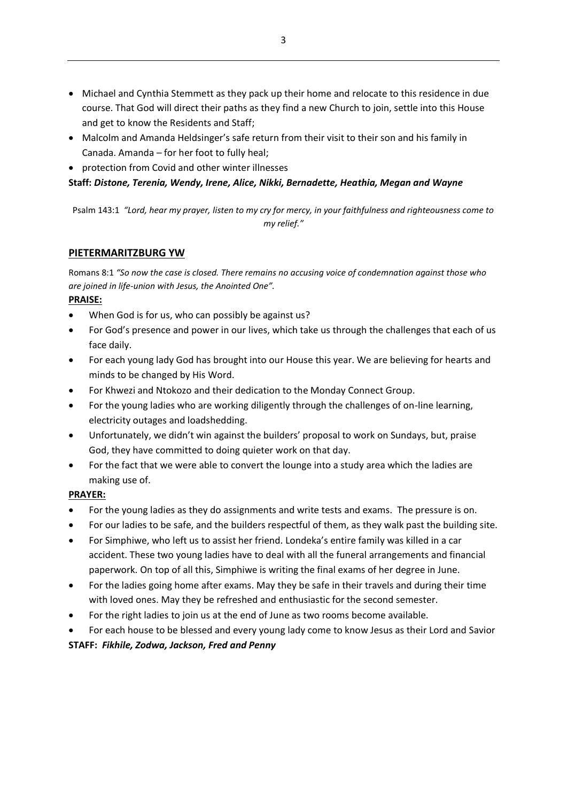- Michael and Cynthia Stemmett as they pack up their home and relocate to this residence in due course. That God will direct their paths as they find a new Church to join, settle into this House and get to know the Residents and Staff;
- Malcolm and Amanda Heldsinger's safe return from their visit to their son and his family in Canada. Amanda – for her foot to fully heal;
- protection from Covid and other winter illnesses

# **Staff:** *Distone, Terenia, Wendy, Irene, Alice, Nikki, Bernadette, Heathia, Megan and Wayne*

Psalm 143:1 *"Lord, hear my prayer, listen to my cry for mercy, in your faithfulness and righteousness come to my relief."*

# **PIETERMARITZBURG YW**

Romans 8:1 *"So now the case is closed. There remains no accusing voice of condemnation against those who are joined in life-union with Jesus, the Anointed One".*

# **PRAISE:**

- When God is for us, who can possibly be against us?
- For God's presence and power in our lives, which take us through the challenges that each of us face daily.
- For each young lady God has brought into our House this year. We are believing for hearts and minds to be changed by His Word.
- For Khwezi and Ntokozo and their dedication to the Monday Connect Group.
- For the young ladies who are working diligently through the challenges of on-line learning, electricity outages and loadshedding.
- Unfortunately, we didn't win against the builders' proposal to work on Sundays, but, praise God, they have committed to doing quieter work on that day.
- For the fact that we were able to convert the lounge into a study area which the ladies are making use of.

# **PRAYER:**

- For the young ladies as they do assignments and write tests and exams. The pressure is on.
- For our ladies to be safe, and the builders respectful of them, as they walk past the building site.
- For Simphiwe, who left us to assist her friend. Londeka's entire family was killed in a car accident. These two young ladies have to deal with all the funeral arrangements and financial paperwork. On top of all this, Simphiwe is writing the final exams of her degree in June.
- For the ladies going home after exams. May they be safe in their travels and during their time with loved ones. May they be refreshed and enthusiastic for the second semester.
- For the right ladies to join us at the end of June as two rooms become available.
- For each house to be blessed and every young lady come to know Jesus as their Lord and Savior

# **STAFF:** *Fikhile, Zodwa, Jackson, Fred and Penny*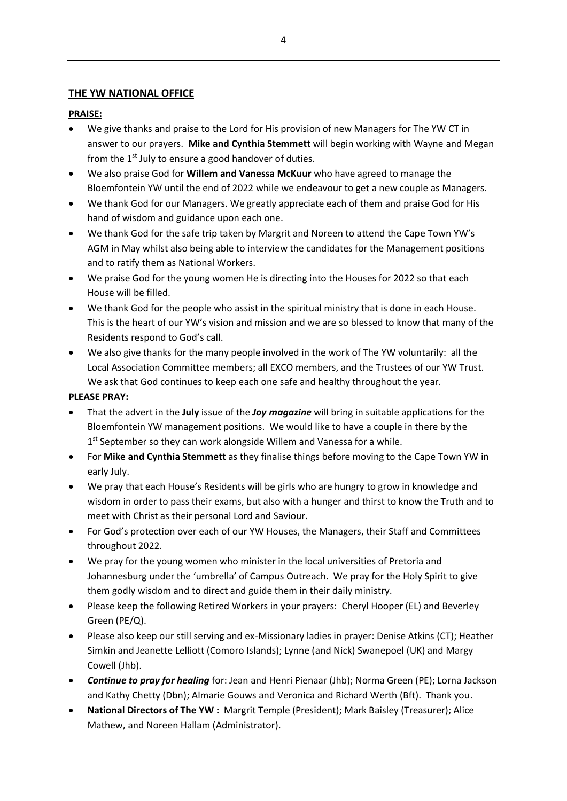# **THE YW NATIONAL OFFICE**

#### **PRAISE:**

- We give thanks and praise to the Lord for His provision of new Managers for The YW CT in answer to our prayers. **Mike and Cynthia Stemmett** will begin working with Wayne and Megan from the  $1<sup>st</sup>$  July to ensure a good handover of duties.
- We also praise God for **Willem and Vanessa McKuur** who have agreed to manage the Bloemfontein YW until the end of 2022 while we endeavour to get a new couple as Managers.
- We thank God for our Managers. We greatly appreciate each of them and praise God for His hand of wisdom and guidance upon each one.
- We thank God for the safe trip taken by Margrit and Noreen to attend the Cape Town YW's AGM in May whilst also being able to interview the candidates for the Management positions and to ratify them as National Workers.
- We praise God for the young women He is directing into the Houses for 2022 so that each House will be filled.
- We thank God for the people who assist in the spiritual ministry that is done in each House. This is the heart of our YW's vision and mission and we are so blessed to know that many of the Residents respond to God's call.
- We also give thanks for the many people involved in the work of The YW voluntarily: all the Local Association Committee members; all EXCO members, and the Trustees of our YW Trust. We ask that God continues to keep each one safe and healthy throughout the year.

#### **PLEASE PRAY:**

- That the advert in the **July** issue of the *Joy magazine* will bring in suitable applications for the Bloemfontein YW management positions. We would like to have a couple in there by the 1<sup>st</sup> September so they can work alongside Willem and Vanessa for a while.
- For **Mike and Cynthia Stemmett** as they finalise things before moving to the Cape Town YW in early July.
- We pray that each House's Residents will be girls who are hungry to grow in knowledge and wisdom in order to pass their exams, but also with a hunger and thirst to know the Truth and to meet with Christ as their personal Lord and Saviour.
- For God's protection over each of our YW Houses, the Managers, their Staff and Committees throughout 2022.
- We pray for the young women who minister in the local universities of Pretoria and Johannesburg under the 'umbrella' of Campus Outreach. We pray for the Holy Spirit to give them godly wisdom and to direct and guide them in their daily ministry.
- Please keep the following Retired Workers in your prayers: Cheryl Hooper (EL) and Beverley Green (PE/Q).
- Please also keep our still serving and ex-Missionary ladies in prayer: Denise Atkins (CT); Heather Simkin and Jeanette Lelliott (Comoro Islands); Lynne (and Nick) Swanepoel (UK) and Margy Cowell (Jhb).
- *Continue to pray for healing* for: Jean and Henri Pienaar (Jhb); Norma Green (PE); Lorna Jackson and Kathy Chetty (Dbn); Almarie Gouws and Veronica and Richard Werth (Bft). Thank you.
- **National Directors of The YW :** Margrit Temple (President); Mark Baisley (Treasurer); Alice Mathew, and Noreen Hallam (Administrator).